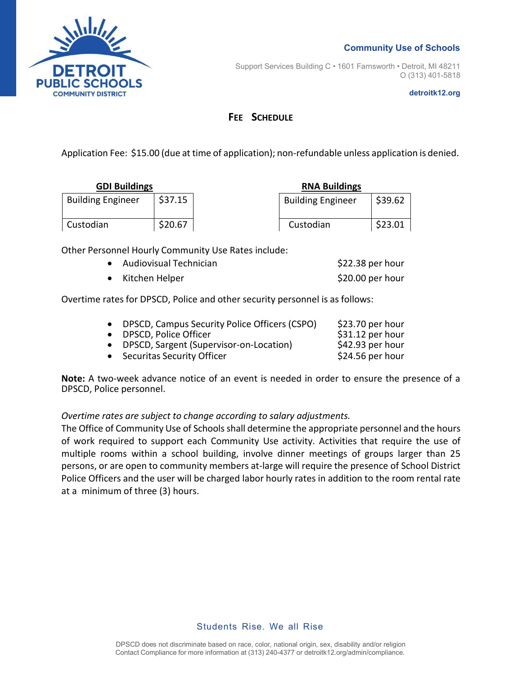

Support Services Building C • 1601 Farnsworth • Detroit, MI 48211 O (313) 401-5818

**detroitk12.org**

## **FEE SCHEDULE**

Application Fee: \$15.00 (due at time of application); non-refundable unless application is denied.

| <b>GDI Buildings</b>     |         | <b>RNA Buildings</b> |                          |         |
|--------------------------|---------|----------------------|--------------------------|---------|
| <b>Building Engineer</b> | \$37.15 |                      | <b>Building Engineer</b> | \$39.62 |
| Custodian                | \$20.67 |                      | Custodian                | \$23.01 |

Other Personnel Hourly Community Use Rates include:

| • Audiovisual Technician | $$22.38$ per hour |
|--------------------------|-------------------|
| • Kitchen Helper         | \$20.00 per hour  |

Overtime rates for DPSCD, Police and other security personnel is as follows:

| • DPSCD, Campus Security Police Officers (CSPO) | $$23.70$ per hour |
|-------------------------------------------------|-------------------|
| • DPSCD, Police Officer                         | \$31.12 per hour  |
| • DPSCD, Sargent (Supervisor-on-Location)       | $$42.93$ per hour |
| • Securitas Security Officer                    | $$24.56$ per hour |

**Note:** A two-week advance notice of an event is needed in order to ensure the presence of a DPSCD, Police personnel.

## *Overtime rates are subject to change according to salary adjustments.*

The Office of Community Use of Schools shall determine the appropriate personnel and the hours of work required to support each Community Use activity. Activities that require the use of multiple rooms within a school building, involve dinner meetings of groups larger than 25 persons, or are open to community members at-large will require the presence of School District Police Officers and the user will be charged labor hourly rates in addition to the room rental rate at a minimum of three (3) hours.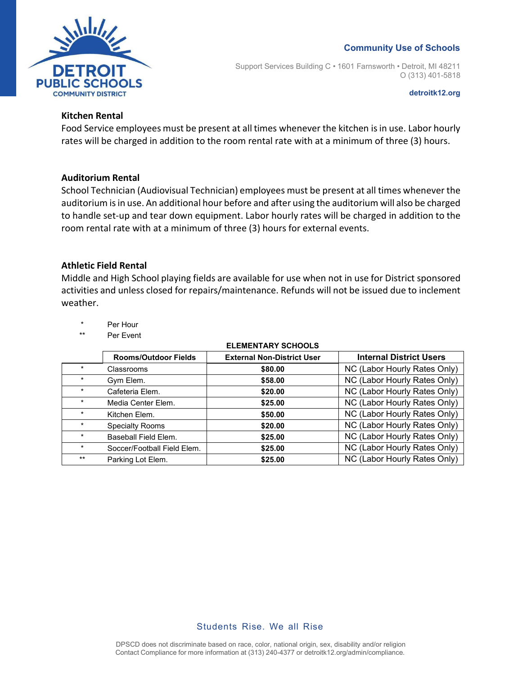



Support Services Building C • 1601 Farnsworth • Detroit, MI 48211 O (313) 401-5818

**detroitk12.org**

## **Kitchen Rental**

Food Service employees must be present at all times whenever the kitchen is in use. Labor hourly rates will be charged in addition to the room rental rate with at a minimum of three (3) hours.

## **Auditorium Rental**

School Technician (Audiovisual Technician) employees must be present at all times whenever the auditorium is in use. An additional hour before and after using the auditorium will also be charged to handle set-up and tear down equipment. Labor hourly rates will be charged in addition to the room rental rate with at a minimum of three (3) hours for external events.

## **Athletic Field Rental**

Middle and High School playing fields are available for use when not in use for District sponsored activities and unless closed for repairs/maintenance. Refunds will not be issued due to inclement weather.

- Per Hour
- \*\* Per Event

|         | <b>Rooms/Outdoor Fields</b> | <b>External Non-District User</b> | <b>Internal District Users</b> |
|---------|-----------------------------|-----------------------------------|--------------------------------|
| $\star$ | Classrooms                  | \$80.00                           | NC (Labor Hourly Rates Only)   |
| $\star$ | Gym Elem.                   | \$58.00                           | NC (Labor Hourly Rates Only)   |
|         | Cafeteria Elem.             | \$20.00                           | NC (Labor Hourly Rates Only)   |
|         | Media Center Elem.          | \$25.00                           | NC (Labor Hourly Rates Only)   |
| $\star$ | Kitchen Elem.               | \$50.00                           | NC (Labor Hourly Rates Only)   |
|         | <b>Specialty Rooms</b>      | \$20.00                           | NC (Labor Hourly Rates Only)   |
| $\star$ | Baseball Field Elem.        | \$25.00                           | NC (Labor Hourly Rates Only)   |
| $\star$ | Soccer/Football Field Elem. | \$25.00                           | NC (Labor Hourly Rates Only)   |
| $***$   | Parking Lot Elem.           | \$25.00                           | NC (Labor Hourly Rates Only)   |

#### **ELEMENTARY SCHOOLS**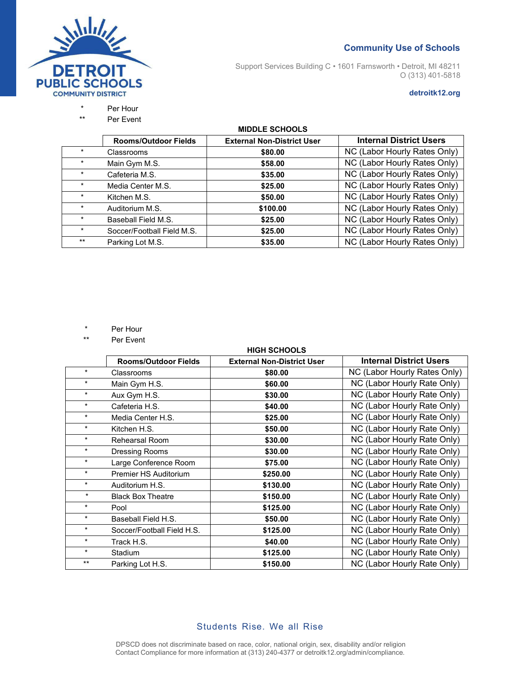

Support Services Building C • 1601 Farnsworth • Detroit, MI 48211 O (313) 401-5818

#### **detroitk12.org**

# \* Per Hour

Per Event

#### **MIDDLE SCHOOLS**

|         | <b>Rooms/Outdoor Fields</b> | <b>External Non-District User</b> | <b>Internal District Users</b> |
|---------|-----------------------------|-----------------------------------|--------------------------------|
| $\star$ | Classrooms                  | \$80.00                           | NC (Labor Hourly Rates Only)   |
| $\star$ | Main Gym M.S.               | \$58.00                           | NC (Labor Hourly Rates Only)   |
|         | Cafeteria M.S.              | \$35.00                           | NC (Labor Hourly Rates Only)   |
| $\ast$  | Media Center M.S.           | \$25.00                           | NC (Labor Hourly Rates Only)   |
|         | Kitchen M.S.                | \$50.00                           | NC (Labor Hourly Rates Only)   |
| $\ast$  | Auditorium M.S.             | \$100.00                          | NC (Labor Hourly Rates Only)   |
|         | Baseball Field M.S.         | \$25.00                           | NC (Labor Hourly Rates Only)   |
| $\star$ | Soccer/Football Field M.S.  | \$25.00                           | NC (Labor Hourly Rates Only)   |
| $***$   | Parking Lot M.S.            | \$35.00                           | NC (Labor Hourly Rates Only)   |

- \* Per Hour
- \*\* Per Event

#### **HIGH SCHOOLS**

|         | <b>Rooms/Outdoor Fields</b> | <b>External Non-District User</b> | <b>Internal District Users</b> |
|---------|-----------------------------|-----------------------------------|--------------------------------|
| $\star$ | Classrooms                  | \$80.00                           | NC (Labor Hourly Rates Only)   |
| $\star$ | Main Gym H.S.               | \$60.00                           | NC (Labor Hourly Rate Only)    |
| $\star$ | Aux Gym H.S.                | \$30.00                           | NC (Labor Hourly Rate Only)    |
| $\star$ | Cafeteria H.S.              | \$40.00                           | NC (Labor Hourly Rate Only)    |
| $\star$ | Media Center H.S.           | \$25.00                           | NC (Labor Hourly Rate Only)    |
| $\star$ | Kitchen H.S.                | \$50.00                           | NC (Labor Hourly Rate Only)    |
| $\star$ | Rehearsal Room              | \$30.00                           | NC (Labor Hourly Rate Only)    |
| $\star$ | Dressing Rooms              | \$30.00                           | NC (Labor Hourly Rate Only)    |
| $\star$ | Large Conference Room       | \$75.00                           | NC (Labor Hourly Rate Only)    |
| $\star$ | Premier HS Auditorium       | \$250.00                          | NC (Labor Hourly Rate Only)    |
| $\star$ | Auditorium H.S.             | \$130.00                          | NC (Labor Hourly Rate Only)    |
| $\star$ | <b>Black Box Theatre</b>    | \$150.00                          | NC (Labor Hourly Rate Only)    |
| $\star$ | Pool                        | \$125.00                          | NC (Labor Hourly Rate Only)    |
| $\star$ | Baseball Field H.S.         | \$50.00                           | NC (Labor Hourly Rate Only)    |
| $\star$ | Soccer/Football Field H.S.  | \$125.00                          | NC (Labor Hourly Rate Only)    |
| $\star$ | Track H.S.                  | \$40.00                           | NC (Labor Hourly Rate Only)    |
| $\star$ | <b>Stadium</b>              | \$125.00                          | NC (Labor Hourly Rate Only)    |
| $***$   | Parking Lot H.S.            | \$150.00                          | NC (Labor Hourly Rate Only)    |

## Students Rise. We all Rise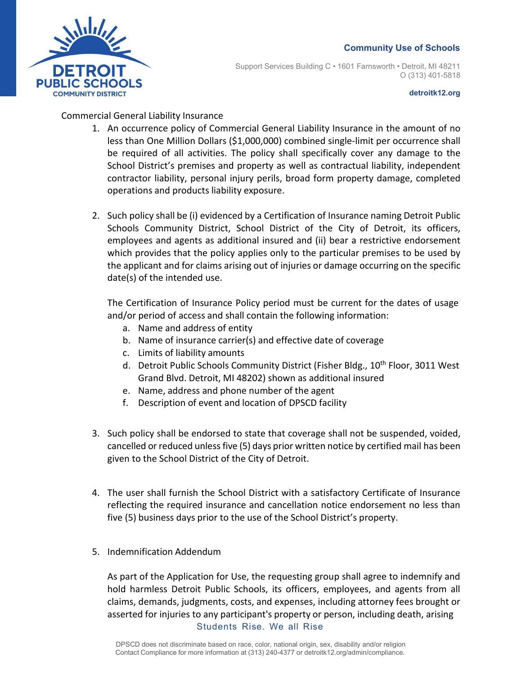

Support Services Building C • 1601 Farnsworth • Detroit, MI 48211 O (313) 401-5818

#### **detroitk12.org**

## Commercial General Liability Insurance

- 1. An occurrence policy of Commercial General Liability Insurance in the amount of no less than One Million Dollars (\$1,000,000) combined single-limit per occurrence shall be required of all activities. The policy shall specifically cover any damage to the School District's premises and property as well as contractual liability, independent contractor liability, personal injury perils, broad form property damage, completed operations and products liability exposure.
- 2. Such policy shall be (i) evidenced by a Certification of Insurance naming Detroit Public Schools Community District, School District of the City of Detroit, its officers, employees and agents as additional insured and (ii) bear a restrictive endorsement which provides that the policy applies only to the particular premises to be used by the applicant and for claims arising out of injuries or damage occurring on the specific date(s) of the intended use.

The Certification of Insurance Policy period must be current for the dates of usage and/or period of access and shall contain the following information:

- a. Name and address of entity
- b. Name of insurance carrier(s) and effective date of coverage
- c. Limits of liability amounts
- d. Detroit Public Schools Community District (Fisher Bldg., 10<sup>th</sup> Floor, 3011 West Grand Blvd. Detroit, MI 48202) shown as additional insured
- e. Name, address and phone number of the agent
- f. Description of event and location of DPSCD facility
- 3. Such policy shall be endorsed to state that coverage shall not be suspended, voided, cancelled or reduced unlessfive (5) days prior written notice by certified mail has been given to the School District of the City of Detroit.
- 4. The user shall furnish the School District with a satisfactory Certificate of Insurance reflecting the required insurance and cancellation notice endorsement no less than five (5) business days prior to the use of the School District's property.
- 5. Indemnification Addendum

Students Rise. We all Rise As part of the Application for Use, the requesting group shall agree to indemnify and hold harmless Detroit Public Schools, its officers, employees, and agents from all claims, demands, judgments, costs, and expenses, including attorney fees brought or asserted for injuries to any participant's property or person, including death, arising